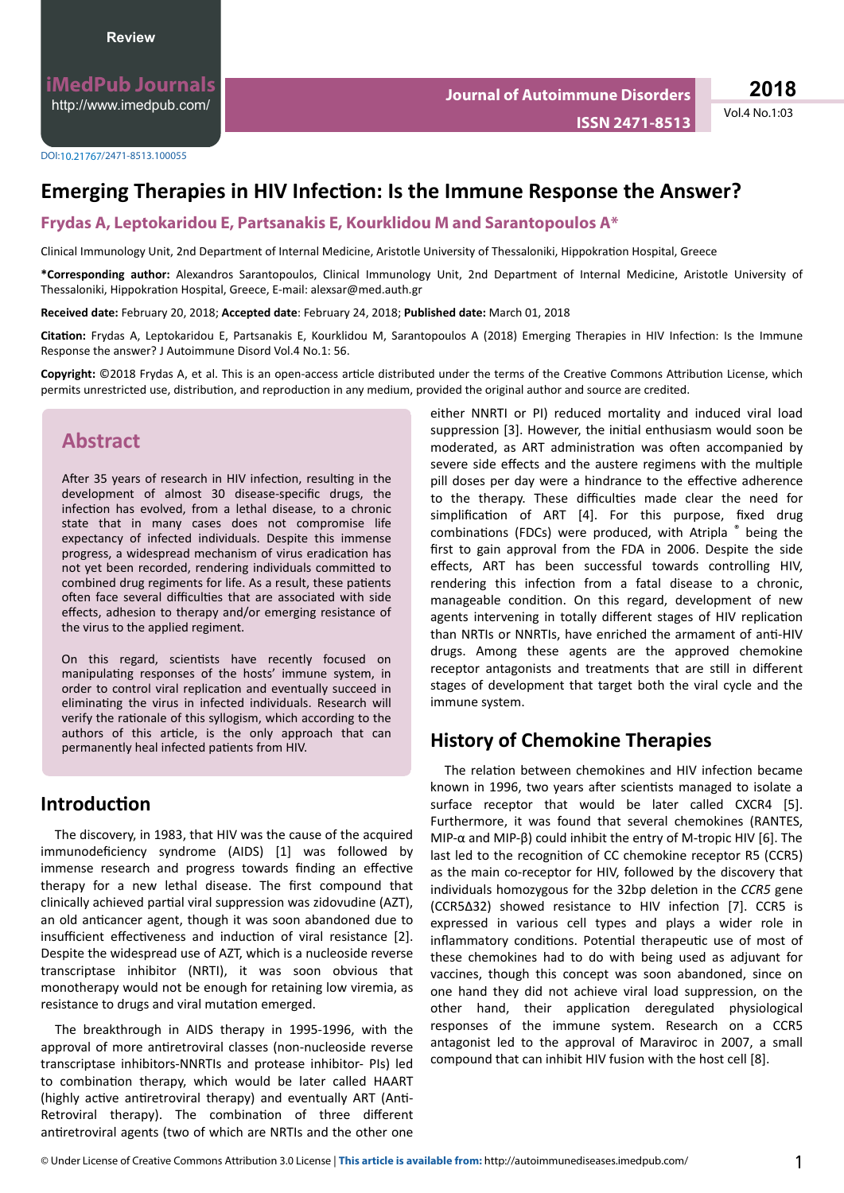**iMedPub Journals**

DOI: 10.21767/2471-8513.100055

# **Emerging Therapies in HIV Infection: Is the Immune Response the Answer?**

#### **Frydas A, Leptokaridou E, Partsanakis E, Kourklidou M and Sarantopoulos A\***

Clinical Immunology Unit, 2nd Department of Internal Medicine, Aristotle University of Thessaloniki, Hippokration Hospital, Greece

**\*Corresponding author:** Alexandros Sarantopoulos, Clinical Immunology Unit, 2nd Department of Internal Medicine, Aristotle University of Thessaloniki, Hippokration Hospital, Greece, E-mail: [alexsar@med.auth.gr](mailto:alexsar@med.auth.gr)

**Received date:** February 20, 2018; **Accepted date**: February 24, 2018; **Published date:** March 01, 2018

Citation: Frydas A, Leptokaridou E, Partsanakis E, Kourklidou M, Sarantopoulos A (2018) Emerging Therapies in HIV Infection: Is the Immune Response the answer? J Autoimmune Disord Vol.4 No.1: 56.

Copyright: ©2018 Frydas A, et al. This is an open-access article distributed under the terms of the Creative Commons Attribution License, which permits unrestricted use, distribution, and reproduction in any medium, provided the original author and source are credited.

#### **Abstract**

After 35 years of research in HIV infection, resulting in the development of almost 30 disease-specific drugs, the infection has evolved, from a lethal disease, to a chronic state that in many cases does not compromise life expectancy of infected individuals. Despite this immense progress, a widespread mechanism of virus eradication has not yet been recorded, rendering individuals committed to combined drug regiments for life. As a result, these patients often face several difficulties that are associated with side effects, adhesion to therapy and/or emerging resistance of the virus to the applied regiment.

On this regard, scientists have recently focused on manipulating responses of the hosts' immune system, in order to control viral replication and eventually succeed in eliminating the virus in infected individuals. Research will verify the rationale of this syllogism, which according to the authors of this article, is the only approach that can permanently heal infected patients from HIV.

#### **Introduction**

The discovery, in 1983, that HIV was the cause of the acquired immunodeficiency syndrome (AIDS) [1] was followed by immense research and progress towards finding an effective therapy for a new lethal disease. The first compound that clinically achieved partial viral suppression was zidovudine (AZT), an old anticancer agent, though it was soon abandoned due to insufficient effectiveness and induction of viral resistance [2]. Despite the widespread use of AZT, which is a nucleoside reverse transcriptase inhibitor (NRTI), it was soon obvious that monotherapy would not be enough for retaining low viremia, as resistance to drugs and viral mutation emerged.

The breakthrough in AIDS therapy in 1995-1996, with the approval of more antiretroviral classes (non-nucleoside reverse transcriptase inhibitors-NNRTIs and protease inhibitor- PIs) led to combination therapy, which would be later called HAART (highly active antiretroviral therapy) and eventually ART (Anti-Retroviral therapy). The combination of three different antiretroviral agents (two of which are NRTIs and the other one

either NNRTI or PI) reduced mortality and induced viral load suppression [3]. However, the initial enthusiasm would soon be moderated, as ART administration was often accompanied by severe side effects and the austere regimens with the multiple pill doses per day were a hindrance to the effective adherence to the therapy. These difficulties made clear the need for simplification of ART [4]. For this purpose, fixed drug combinations (FDCs) were produced, with Atripla ® being the first to gain approval from the FDA in 2006. Despite the side effects, ART has been successful towards controlling HIV, rendering this infection from a fatal disease to a chronic, manageable condition. On this regard, development of new agents intervening in totally different stages of HIV replication than NRTIs or NNRTIs, have enriched the armament of anti-HIV drugs. Among these agents are the approved chemokine receptor antagonists and treatments that are still in different stages of development that target both the viral cycle and the immune system.

#### **History of Chemokine Therapies**

The relation between chemokines and HIV infection became known in 1996, two years after scientists managed to isolate a surface receptor that would be later called CXCR4 [5]. Furthermore, it was found that several chemokines (RANTES, MIP-α and MIP-β) could inhibit the entry of M-tropic HIV [6]. The last led to the recognition of CC chemokine receptor R5 (CCR5) as the main co-receptor for HIV, followed by the discovery that individuals homozygous for the 32bp deletion in the CCR5 gene (CCR5Δ32) showed resistance to HIV infection [7]. CCR5 is expressed in various cell types and plays a wider role in inflammatory conditions. Potential therapeutic use of most of these chemokines had to do with being used as adjuvant for vaccines, though this concept was soon abandoned, since on one hand they did not achieve viral load suppression, on the other hand, their application deregulated physiological responses of the immune system. Research on a CCR5 antagonist led to the approval of Maraviroc in 2007, a small compound that can inhibit HIV fusion with the host cell [8].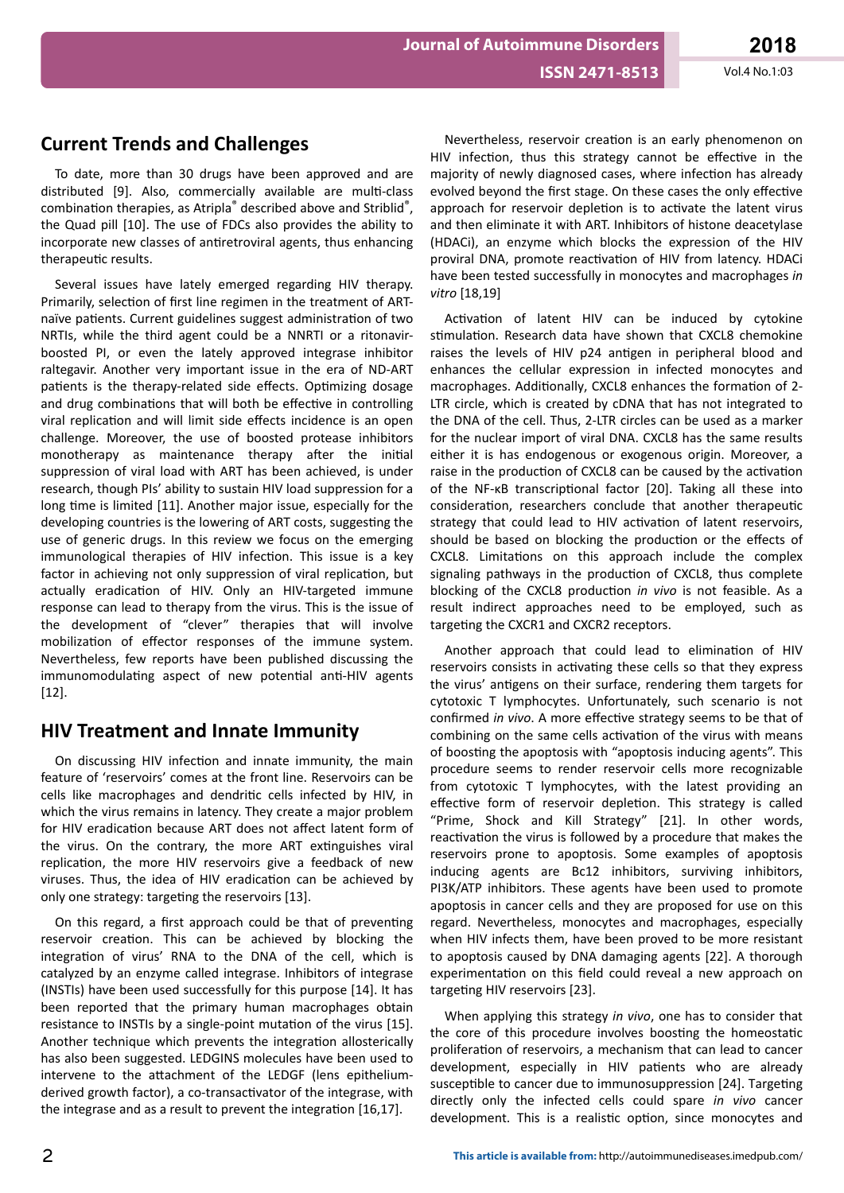### **Current Trends and Challenges**

To date, more than 30 drugs have been approved and are distributed [9]. Also, commercially available are multi-class combination therapies, as Atripla® described above and Striblid®, the Quad pill [10]. The use of FDCs also provides the ability to incorporate new classes of antiretroviral agents, thus enhancing therapeutic results.

Several issues have lately emerged regarding HIV therapy. Primarily, selection of first line regimen in the treatment of ARTnaïve patients. Current guidelines suggest administration of two NRTIs, while the third agent could be a NNRTI or a ritonavirboosted PI, or even the lately approved integrase inhibitor raltegavir. Another very important issue in the era of ND-ART patients is the therapy-related side effects. Optimizing dosage and drug combinations that will both be effective in controlling viral replication and will limit side effects incidence is an open challenge. Moreover, the use of boosted protease inhibitors monotherapy as maintenance therapy after the initial suppression of viral load with ART has been achieved, is under research, though PIs' ability to sustain HIV load suppression for a long time is limited [11]. Another major issue, especially for the developing countries is the lowering of ART costs, suggesting the use of generic drugs. In this review we focus on the emerging immunological therapies of HIV infection. This issue is a key factor in achieving not only suppression of viral replication, but actually eradication of HIV. Only an HIV-targeted immune response can lead to therapy from the virus. This is the issue of the development of "clever" therapies that will involve mobilization of effector responses of the immune system. Nevertheless, few reports have been published discussing the immunomodulating aspect of new potential anti-HIV agents [12].

#### **HIV Treatment and Innate Immunity**

On discussing HIV infection and innate immunity, the main feature of 'reservoirs' comes at the front line. Reservoirs can be cells like macrophages and dendritic cells infected by HIV, in which the virus remains in latency. They create a major problem for HIV eradication because ART does not affect latent form of the virus. On the contrary, the more ART extinguishes viral replication, the more HIV reservoirs give a feedback of new viruses. Thus, the idea of HIV eradication can be achieved by only one strategy: targeting the reservoirs [13].

On this regard, a first approach could be that of preventing reservoir creation. This can be achieved by blocking the integration of virus' RNA to the DNA of the cell, which is catalyzed by an enzyme called integrase. Inhibitors of integrase (INSTIs) have been used successfully for this purpose [14]. It has been reported that the primary human macrophages obtain resistance to INSTIs by a single-point mutation of the virus [15]. Another technique which prevents the integration allosterically has also been suggested. LEDGINS molecules have been used to intervene to the attachment of the LEDGF (lens epitheliumderived growth factor), a co-transactivator of the integrase, with the integrase and as a result to prevent the integration  $[16,17]$ .

Nevertheless, reservoir creation is an early phenomenon on HIV infection, thus this strategy cannot be effective in the majority of newly diagnosed cases, where infection has already evolved beyond the first stage. On these cases the only effective approach for reservoir depletion is to activate the latent virus and then eliminate it with ART. Inhibitors of histone deacetylase (HDACi), an enzyme which blocks the expression of the HIV proviral DNA, promote reactivation of HIV from latency. HDACi have been tested successfully in monocytes and macrophages *in vitro* [18,19]

Activation of latent HIV can be induced by cytokine stimulation. Research data have shown that CXCL8 chemokine raises the levels of HIV p24 antigen in peripheral blood and enhances the cellular expression in infected monocytes and macrophages. Additionally, CXCL8 enhances the formation of 2-LTR circle, which is created by cDNA that has not integrated to the DNA of the cell. Thus, 2-LTR circles can be used as a marker for the nuclear import of viral DNA. CXCL8 has the same results either it is has endogenous or exogenous origin. Moreover, a raise in the production of CXCL8 can be caused by the activation of the NF-κB transcriptional factor [20]. Taking all these into consideration, researchers conclude that another therapeutic strategy that could lead to HIV activation of latent reservoirs, should be based on blocking the production or the effects of CXCL8. Limitations on this approach include the complex signaling pathways in the production of CXCL8, thus complete blocking of the CXCL8 production *in vivo* is not feasible. As a result indirect approaches need to be employed, such as targeting the CXCR1 and CXCR2 receptors.

Another approach that could lead to elimination of HIV reservoirs consists in activating these cells so that they express the virus' antigens on their surface, rendering them targets for cytotoxic T lymphocytes. Unfortunately, such scenario is not confirmed *in vivo*. A more effective strategy seems to be that of combining on the same cells activation of the virus with means of boosting the apoptosis with "apoptosis inducing agents". This procedure seems to render reservoir cells more recognizable from cytotoxic T lymphocytes, with the latest providing an effective form of reservoir depletion. This strategy is called "Prime, Shock and Kill Strategy" [21]. In other words, reactivation the virus is followed by a procedure that makes the reservoirs prone to apoptosis. Some examples of apoptosis inducing agents are Bc12 inhibitors, surviving inhibitors, PI3K/ATP inhibitors. These agents have been used to promote apoptosis in cancer cells and they are proposed for use on this regard. Nevertheless, monocytes and macrophages, especially when HIV infects them, have been proved to be more resistant to apoptosis caused by DNA damaging agents [22]. A thorough experimentation on this field could reveal a new approach on targeting HIV reservoirs [23].

When applying this strategy *in vivo*, one has to consider that the core of this procedure involves boosting the homeostatic proliferation of reservoirs, a mechanism that can lead to cancer development, especially in HIV patients who are already susceptible to cancer due to immunosuppression [24]. Targeting directly only the infected cells could spare *in vivo* cancer development. This is a realistic option, since monocytes and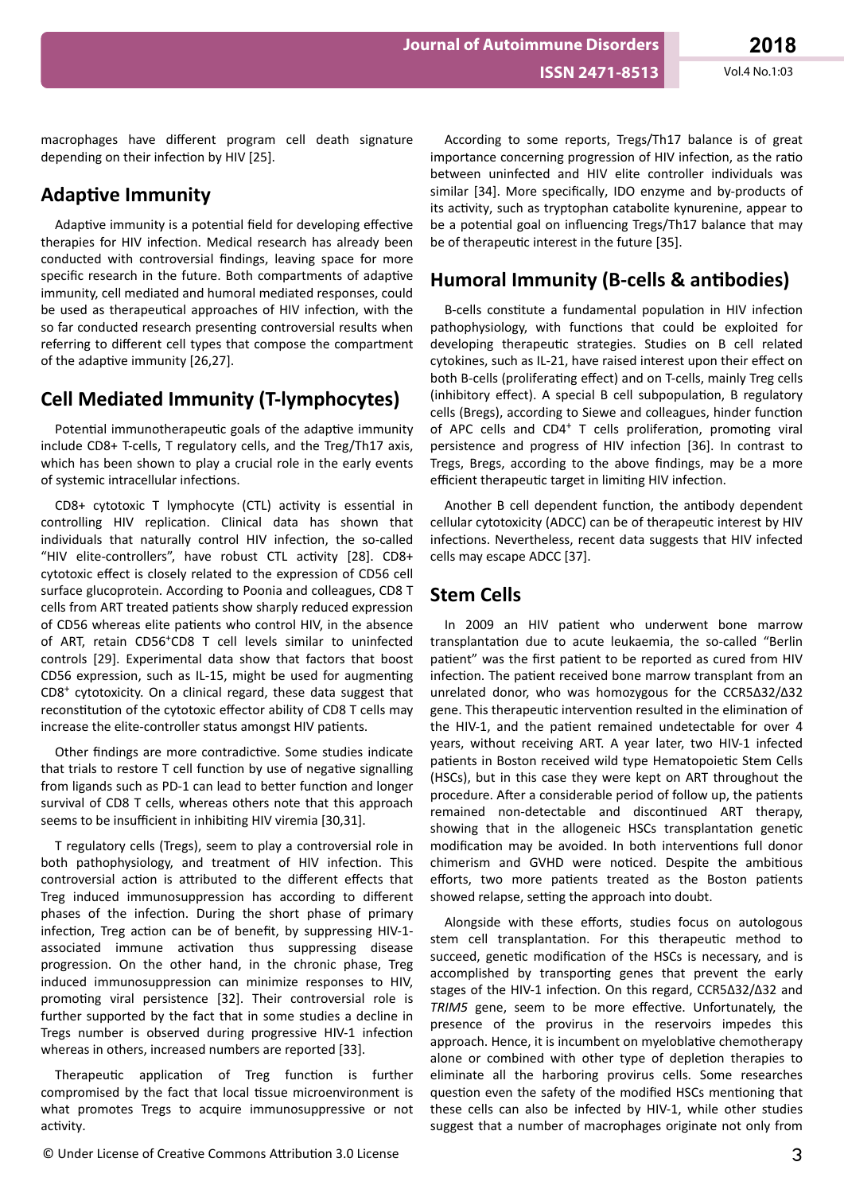macrophages have different program cell death signature depending on their infection by HIV [25].

# **Adaptive Immunity**

Adaptive immunity is a potential field for developing effective therapies for HIV infection. Medical research has already been conducted with controversial findings. leaving space for more specific research in the future. Both compartments of adaptive immunity, cell mediated and humoral mediated responses, could be used as therapeutical approaches of HIV infection, with the so far conducted research presenting controversial results when referring to different cell types that compose the compartment of the adaptive immunity [26,27].

# **Cell Mediated Immunity (T-lymphocytes)**

Potential immunotherapeutic goals of the adaptive immunity include CD8+ T-cells, T regulatory cells, and the Treg/Th17 axis, which has been shown to play a crucial role in the early events of systemic intracellular infections.

CD8+ cytotoxic T lymphocyte (CTL) activity is essential in controlling HIV replication. Clinical data has shown that individuals that naturally control HIV infection, the so-called "HIV elite-controllers", have robust CTL activity [28]. CD8+ cytotoxic effect is closely related to the expression of CD56 cell surface glucoprotein. According to Poonia and colleagues, CD8 T cells from ART treated patients show sharply reduced expression of CD56 whereas elite patients who control HIV, in the absence of ART, retain CD56<sup>+</sup>CD8 T cell levels similar to uninfected controls [29]. Experimental data show that factors that boost CD56 expression, such as IL-15, might be used for augmenting CD8<sup>+</sup> cytotoxicity. On a clinical regard, these data suggest that reconstitution of the cytotoxic effector ability of CD8 T cells may increase the elite-controller status amongst HIV patients.

Other findings are more contradictive. Some studies indicate that trials to restore T cell function by use of negative signalling from ligands such as PD-1 can lead to better function and longer survival of CD8 T cells, whereas others note that this approach seems to be insufficient in inhibiting HIV viremia [30,31].

T regulatory cells (Tregs), seem to play a controversial role in both pathophysiology, and treatment of HIV infection. This controversial action is attributed to the different effects that Treg induced immunosuppression has according to different phases of the infection. During the short phase of primary infection, Treg action can be of benefit, by suppressing HIV-1associated immune activation thus suppressing disease progression. On the other hand, in the chronic phase, Treg induced immunosuppression can minimize responses to HIV, promoting viral persistence [32]. Their controversial role is further supported by the fact that in some studies a decline in Tregs number is observed during progressive HIV-1 infection whereas in others, increased numbers are reported [33].

Therapeutic application of Treg function is further compromised by the fact that local tissue microenvironment is what promotes Tregs to acquire immunosuppressive or not activity.

According to some reports, Tregs/Th17 balance is of great importance concerning progression of HIV infection, as the ratio between uninfected and HIV elite controller individuals was similar [34]. More specifically, IDO enzyme and by-products of its activity, such as tryptophan catabolite kynurenine, appear to be a potential goal on influencing Tregs/Th17 balance that may be of therapeutic interest in the future [35].

# **Humoral Immunity (B-cells & antibodies)**

B-cells constitute a fundamental population in HIV infection pathophysiology, with functions that could be exploited for developing therapeutic strategies. Studies on B cell related cytokines, such as IL-21, have raised interest upon their effect on both B-cells (proliferating effect) and on T-cells, mainly Treg cells (inhibitory effect). A special B cell subpopulation, B regulatory cells (Bregs), according to Siewe and colleagues, hinder function of APC cells and CD4<sup>+</sup> T cells proliferation, promoting viral persistence and progress of HIV infection [36]. In contrast to Tregs, Bregs, according to the above findings, may be a more efficient therapeutic target in limiting HIV infection.

Another B cell dependent function, the antibody dependent cellular cytotoxicity (ADCC) can be of therapeutic interest by HIV infections. Nevertheless, recent data suggests that HIV infected cells may escape ADCC [37].

# **Stem Cells**

In 2009 an HIV patient who underwent bone marrow transplantation due to acute leukaemia, the so-called "Berlin patient" was the first patient to be reported as cured from HIV infection. The patient received bone marrow transplant from an unrelated donor, who was homozygous for the CCR5Δ32/Δ32 gene. This therapeutic intervention resulted in the elimination of the HIV-1, and the patient remained undetectable for over 4 years, without receiving ART. A year later, two HIV-1 infected patients in Boston received wild type Hematopoietic Stem Cells (HSCs), but in this case they were kept on ART throughout the procedure. After a considerable period of follow up, the patients remained non-detectable and discontinued ART therapy, showing that in the allogeneic HSCs transplantation genetic modification may be avoided. In both interventions full donor chimerism and GVHD were noticed. Despite the ambitious efforts, two more patients treated as the Boston patients showed relapse, setting the approach into doubt.

Alongside with these efforts, studies focus on autologous stem cell transplantation. For this therapeutic method to succeed, genetic modification of the HSCs is necessary, and is accomplished by transporting genes that prevent the early stages of the HIV-1 infection. On this regard, CCR5Δ32/Δ32 and *TRIM5* gene, seem to be more effective. Unfortunately, the presence of the provirus in the reservoirs impedes this approach. Hence, it is incumbent on myeloblative chemotherapy alone or combined with other type of depletion therapies to eliminate all the harboring provirus cells. Some researches question even the safety of the modified HSCs mentioning that these cells can also be infected by HIV-1, while other studies suggest that a number of macrophages originate not only from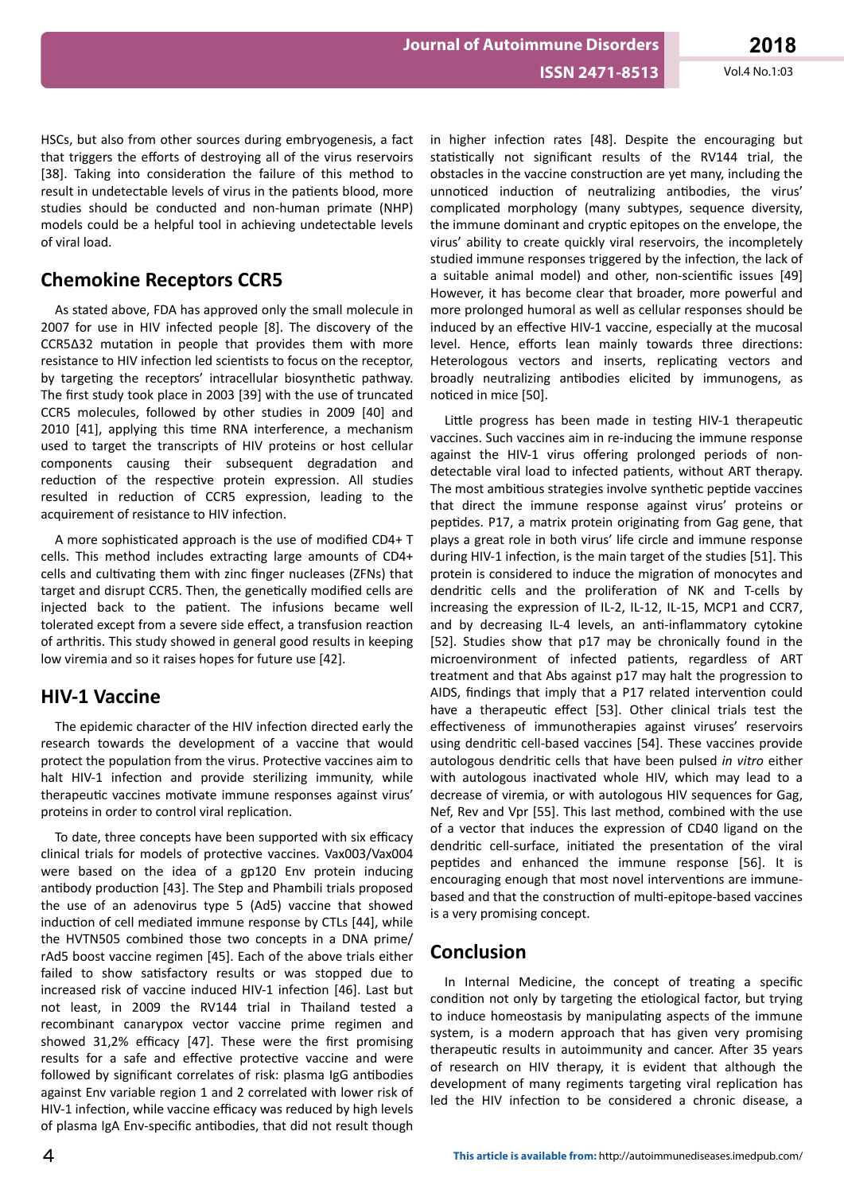Vol.4 No.1:03

HSCs, but also from other sources during embryogenesis, a fact that triggers the efforts of destroying all of the virus reservoirs [38]. Taking into consideration the failure of this method to result in undetectable levels of virus in the patients blood, more studies should be conducted and non-human primate (NHP) models could be a helpful tool in achieving undetectable levels of viral load.

### **Chemokine Receptors CCR5**

As stated above. FDA has approved only the small molecule in 2007 for use in HIV infected people [8]. The discovery of the CCR5∆32 mutation in people that provides them with more resistance to HIV infection led scientists to focus on the receptor, by targeting the receptors' intracellular biosynthetic pathway. The first study took place in 2003 [39] with the use of truncated CCR5 molecules, followed by other studies in 2009 [40] and 2010 [41], applying this time RNA interference, a mechanism used to target the transcripts of HIV proteins or host cellular components causing their subsequent degradation and reduction of the respective protein expression. All studies resulted in reduction of CCR5 expression. leading to the acquirement of resistance to HIV infection.

A more sophisticated approach is the use of modified CD4+ T cells. This method includes extracting large amounts of CD4+ cells and cultivating them with zinc finger nucleases (ZFNs) that target and disrupt CCR5. Then, the genetically modified cells are injected back to the patient. The infusions became well tolerated except from a severe side effect, a transfusion reaction of arthritis. This study showed in general good results in keeping low viremia and so it raises hopes for future use [42].

#### **HIV-1 Vaccine**

The epidemic character of the HIV infection directed early the research towards the development of a vaccine that would protect the population from the virus. Protective vaccines aim to halt HIV-1 infection and provide sterilizing immunity, while therapeutic vaccines motivate immune responses against virus' proteins in order to control viral replication.

To date, three concepts have been supported with six efficacy clinical trials for models of protective vaccines. Vax003/Vax004 were based on the idea of a gp120 Env protein inducing antibody production [43]. The Step and Phambili trials proposed the use of an adenovirus type 5 (Ad5) vaccine that showed induction of cell mediated immune response by CTLs [44], while the HVTN505 combined those two concepts in a DNA prime/ rAd5 boost vaccine regimen [45]. Each of the above trials either failed to show satisfactory results or was stopped due to increased risk of vaccine induced HIV-1 infection [46]. Last but not least, in 2009 the RV144 trial in Thailand tested a recombinant canarypox vector vaccine prime regimen and showed 31,2% efficacy [47]. These were the first promising results for a safe and effective protective vaccine and were followed by significant correlates of risk: plasma IgG antibodies against Env variable region 1 and 2 correlated with lower risk of HIV-1 infection, while vaccine efficacy was reduced by high levels of plasma IgA Env-specific antibodies, that did not result though

in higher infection rates [48]. Despite the encouraging but statistically not significant results of the RV144 trial, the obstacles in the vaccine construction are yet many, including the unnoticed induction of neutralizing antibodies, the virus' complicated morphology (many subtypes, sequence diversity, the immune dominant and cryptic epitopes on the envelope, the virus' ability to create quickly viral reservoirs, the incompletely studied immune responses triggered by the infection, the lack of a suitable animal model) and other, non-scientific issues [49] However, it has become clear that broader, more powerful and more prolonged humoral as well as cellular responses should be induced by an effective HIV-1 vaccine, especially at the mucosal level. Hence, efforts lean mainly towards three directions: Heterologous vectors and inserts, replicating vectors and broadly neutralizing antibodies elicited by immunogens, as noticed in mice [50].

Little progress has been made in testing HIV-1 therapeutic vaccines. Such vaccines aim in re-inducing the immune response against the HIV-1 virus offering prolonged periods of nondetectable viral load to infected patients, without ART therapy. The most ambitious strategies involve synthetic peptide vaccines that direct the immune response against virus' proteins or peptides. P17, a matrix protein originating from Gag gene, that plays a great role in both virus' life circle and immune response during HIV-1 infection, is the main target of the studies [51]. This protein is considered to induce the migration of monocytes and dendritic cells and the proliferation of NK and T-cells by increasing the expression of IL-2, IL-12, IL-15, MCP1 and CCR7, and by decreasing IL-4 levels, an anti-inflammatory cytokine [52]. Studies show that p17 may be chronically found in the microenvironment of infected patients, regardless of ART treatment and that Abs against p17 may halt the progression to AIDS, findings that imply that a P17 related intervention could have a therapeutic effect [53]. Other clinical trials test the effectiveness of immunotherapies against viruses' reservoirs using dendritic cell-based vaccines [54]. These vaccines provide autologous dendritic cells that have been pulsed in vitro either with autologous inactivated whole HIV, which may lead to a decrease of viremia, or with autologous HIV sequences for Gag, Nef, Rev and Vpr [55]. This last method, combined with the use of a vector that induces the expression of CD40 ligand on the dendritic cell-surface, initiated the presentation of the viral peptides and enhanced the immune response [56]. It is encouraging enough that most novel interventions are immunebased and that the construction of multi-epitope-based vaccines is a very promising concept.

### **Conclusion**

In Internal Medicine, the concept of treating a specific condition not only by targeting the etiological factor, but trying to induce homeostasis by manipulating aspects of the immune system, is a modern approach that has given very promising therapeutic results in autoimmunity and cancer. After 35 years of research on HIV therapy, it is evident that although the development of many regiments targeting viral replication has led the HIV infection to be considered a chronic disease, a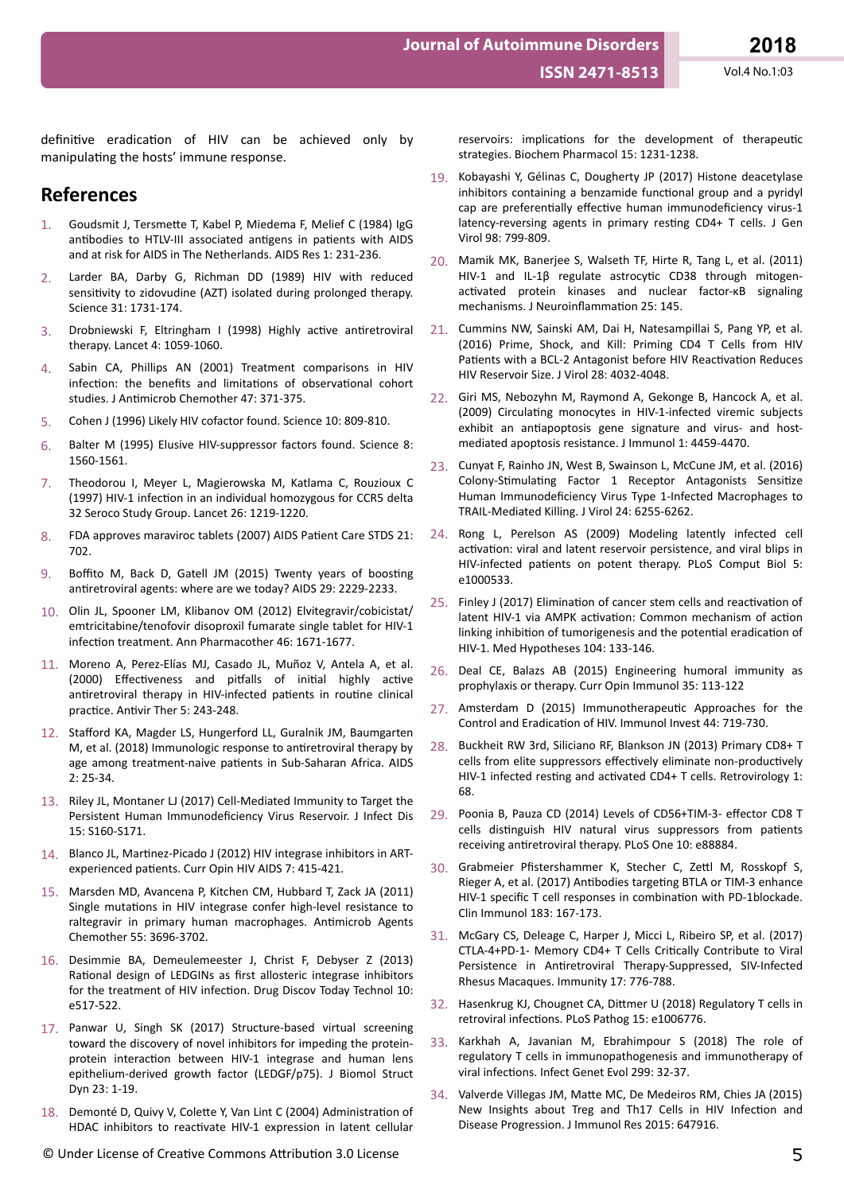definitive eradication of HIV can be achieved only by manipulating the hosts' immune response.

#### **References**

- 1. Goudsmit J, Tersmette T, Kabel P, Miedema F, Melief C (1984) IgG antibodies to HTLV-III associated antigens in patients with AIDS and at risk for AIDS in The Netherlands. AIDS Res 1: 231-236.
- 2. Larder BA, Darby G, Richman DD (1989) HIV with reduced sensitivity to zidovudine (AZT) isolated during prolonged therapy. Science 31: 1731-174.
- 3. Drobniewski F, Eltringham I (1998) Highly active antiretroviral therapy. Lancet 4: 1059-1060.
- 4. Sabin CA, Phillips AN (2001) Treatment comparisons in HIV infection: the benefits and limitations of observational cohort studies. J Antimicrob Chemother 47: 371-375.
- 5. Cohen J (1996) Likely HIV cofactor found. Science 10: 809-810.
- 6. Balter M (1995) Elusive HIV-suppressor factors found. Science 8: 1560-1561.
- 7. Theodorou I, Meyer L, Magierowska M, Katlama C, Rouzioux C (1997) HIV-1 infection in an individual homozygous for CCR5 delta 32 Seroco Study Group. Lancet 26: 1219-1220.
- 8. FDA approves maraviroc tablets (2007) AIDS Patient Care STDS 21: 702.
- 9. Boffito M, Back D, Gatell JM (2015) Twenty years of boosting antiretroviral agents: where are we today? AIDS 29: 2229-2233.
- 10. Olin JL, Spooner LM, Klibanov OM (2012) Elvitegravir/cobicistat/ emtricitabine/tenofovir disoproxil fumarate single tablet for HIV-1 infection treatment. Ann Pharmacother 46: 1671-1677.
- 11. Moreno A, Perez-Elías MJ, Casado JL, Muñoz V, Antela A, et al. (2000) Effectiveness and pitfalls of initial highly active antiretroviral therapy in HIV-infected patients in routine clinical practice. Antivir Ther 5: 243-248.
- 12. Stafford KA, Magder LS, Hungerford LL, Guralnik JM, Baumgarten M, et al. (2018) Immunologic response to antiretroviral therapy by age among treatment-naive patients in Sub-Saharan Africa. AIDS 2: 25-34.
- 13. Riley JL, Montaner LJ (2017) Cell-Mediated Immunity to Target the Persistent Human Immunodeficiency Virus Reservoir. J Infect Dis 15: S160-S171.
- 14. Blanco JL, Martinez-Picado J (2012) HIV integrase inhibitors in ARTexperienced patients. Curr Opin HIV AIDS 7: 415-421.
- 15. Marsden MD, Avancena P, Kitchen CM, Hubbard T, Zack JA (2011) Single mutations in HIV integrase confer high-level resistance to raltegravir in primary human macrophages. Antimicrob Agents Chemother 55: 3696-3702.
- 16. Desimmie BA, Demeulemeester J, Christ F, Debyser Z (2013) Rational design of LEDGINs as first allosteric integrase inhibitors for the treatment of HIV infection. Drug Discov Today Technol 10: e517-522.
- 17. Panwar U, Singh SK (2017) Structure-based virtual screening toward the discovery of novel inhibitors for impeding the proteinprotein interaction between HIV-1 integrase and human lens epithelium-derived growth factor (LEDGF/p75). J Biomol Struct Dyn 23: 1-19.
- 18. Demonté D, Quivy V, Colette Y, Van Lint C (2004) Administration of HDAC inhibitors to reactivate HIV-1 expression in latent cellular

© Under License of Creative Commons Attribution 3.0 License 5

reservoirs: implications for the development of therapeutic strategies. Biochem Pharmacol 15: 1231-1238.

- 19. Kobayashi Y, Gélinas C, Dougherty JP (2017) Histone deacetylase inhibitors containing a benzamide functional group and a pyridyl cap are preferentially effective human immunodeficiency virus-1 latency-reversing agents in primary resting CD4+ T cells. J Gen Virol 98: 799-809.
- 20. Mamik MK, Banerjee S, Walseth TF, Hirte R, Tang L, et al. (2011) HIV-1 and IL-1β regulate astrocytic CD38 through mitogenactivated protein kinases and nuclear factor-κB signaling mechanisms. J Neuroinflammation 25: 145.
- 21. Cummins NW, Sainski AM, Dai H, Natesampillai S, Pang YP, et al. (2016) Prime, Shock, and Kill: Priming CD4 T Cells from HIV Patients with a BCL-2 Antagonist before HIV Reactivation Reduces HIV Reservoir Size. J Virol 28: 4032-4048.
- 22. Giri MS, Nebozyhn M, Raymond A, Gekonge B, Hancock A, et al. (2009) Circulating monocytes in HIV-1-infected viremic subjects exhibit an antiapoptosis gene signature and virus- and hostmediated apoptosis resistance. J Immunol 1: 4459-4470.
- 23. Cunyat F, Rainho JN, West B, Swainson L, McCune JM, et al. (2016) Colony-Stimulating Factor 1 Receptor Antagonists Sensitize Human Immunodeficiency Virus Type 1-Infected Macrophages to TRAIL-Mediated Killing. J Virol 24: 6255-6262.
- 24. Rong L, Perelson AS (2009) Modeling latently infected cell activation: viral and latent reservoir persistence, and viral blips in HIV-infected patients on potent therapy. PLoS Comput Biol 5: e1000533.
- 25. Finley J (2017) Elimination of cancer stem cells and reactivation of latent HIV-1 via AMPK activation: Common mechanism of action linking inhibition of tumorigenesis and the potential eradication of HIV-1. Med Hypotheses 104: 133-146.
- 26. Deal CE, Balazs AB (2015) Engineering humoral immunity as prophylaxis or therapy. Curr Opin Immunol 35: 113-122
- 27. Amsterdam D (2015) Immunotherapeutic Approaches for the Control and Eradication of HIV. Immunol Invest 44: 719-730.
- 28. Buckheit RW 3rd, Siliciano RF, Blankson JN (2013) Primary CD8+ T cells from elite suppressors effectively eliminate non-productively HIV-1 infected resting and activated CD4+ T cells. Retrovirology 1: 68.
- 29. Poonia B, Pauza CD (2014) Levels of CD56+TIM-3- effector CD8 T cells distinguish HIV natural virus suppressors from patients receiving antiretroviral therapy. PLoS One 10: e88884.
- 30. Grabmeier Pfistershammer K, Stecher C, Zettl M, Rosskopf S, Rieger A, et al. (2017) Antibodies targeting BTLA or TIM-3 enhance HIV-1 specific T cell responses in combination with PD-1blockade. Clin Immunol 183: 167-173.
- 31. McGary CS, Deleage C, Harper J, Micci L, Ribeiro SP, et al. (2017) CTLA-4+PD-1- Memory CD4+ T Cells Critically Contribute to Viral Persistence in Antiretroviral Therapy-Suppressed, SIV-Infected Rhesus Macaques. Immunity 17: 776-788.
- 32. Hasenkrug KJ, Chougnet CA, Dittmer U (2018) Regulatory T cells in retroviral infections. PLoS Pathog 15: e1006776.
- 33. Karkhah A, Javanian M, Ebrahimpour S (2018) The role of regulatory T cells in immunopathogenesis and immunotherapy of viral infections. Infect Genet Evol 299: 32-37.
- 34. Valverde Villegas JM, Matte MC, De Medeiros RM, Chies JA (2015) New Insights about Treg and Th17 Cells in HIV Infection and Disease Progression. J Immunol Res 2015: 647916.